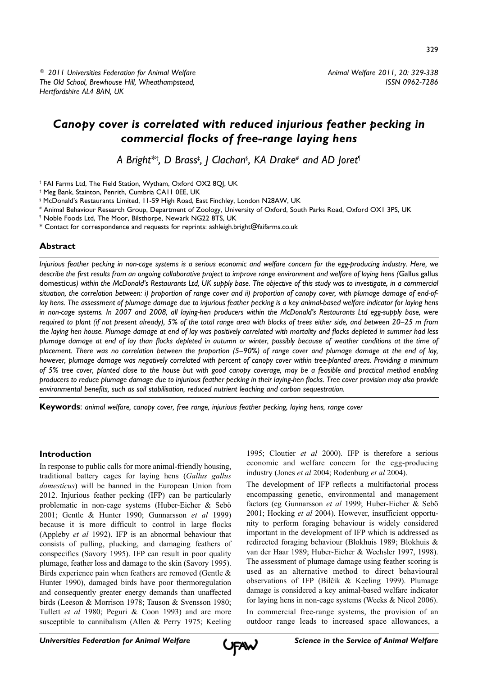*Animal Welfare 2011, 20: 329-338 ISSN 0962-7286*

# *Canopy cover is correlated with reduced injurious feather pecking in commercial flocks of free-range laying hens*

*A Bright\*† , D Brass‡ , J Clachan§ , KA Drake# and AD Joret¶*

† FAI Farms Ltd, The Field Station, Wytham, Oxford OX2 8QJ, UK

‡ Meg Bank, Stainton, Penrith, Cumbria CA11 0EE, UK

# Animal Behaviour Research Group, Department of Zoology, University of Oxford, South Parks Road, Oxford OX1 3PS, UK

¶ Noble Foods Ltd, The Moor, Bilsthorpe, Newark NG22 8TS, UK

\* Contact for correspondence and requests for reprints: ashleigh.bright@faifarms.co.uk

## **Abstract**

*Injurious feather pecking in non-cage systems is a serious economic and welfare concern for the egg-producing industry. Here, we describe the first results from an ongoing collaborative project to improve range environment and welfare of laying hens (*Gallus gallus domesticus*) within the McDonald's Restaurants Ltd, UK supply base. The objective of this study was to investigate, in a commercial situation, the correlation between: i) proportion of range cover and ii) proportion of canopy cover, with plumage damage of end-oflay hens. The assessment of plumage damage due to injurious feather pecking is a key animal-based welfare indicator for laying hens in non-cage systems. In 2007 and 2008, all laying-hen producers within the McDonald's Restaurants Ltd egg-supply base, were required to plant (if not present already), 5% of the total range area with blocks of trees either side, and between 20–25 m from the laying hen house. Plumage damage at end of lay was positively correlated with mortality and flocks depleted in summer had less plumage damage at end of lay than flocks depleted in autumn or winter, possibly because of weather conditions at the time of placement. There was no correlation between the proportion (5–90%) of range cover and plumage damage at the end of lay, however, plumage damage was negatively correlated with percent of canopy cover within tree-planted areas. Providing a minimum of 5% tree cover, planted close to the house but with good canopy coverage, may be a feasible and practical method enabling producers to reduce plumage damage due to injurious feather pecking in their laying-hen flocks. Tree cover provision may also provide environmental benefits, such as soil stabilisation, reduced nutrient leaching and carbon sequestration.*

**Keywords**: *animal welfare, canopy cover, free range, injurious feather pecking, laying hens, range cover*

# **Introduction**

In response to public calls for more animal-friendly housing, traditional battery cages for laying hens (*Gallus gallus domesticus*) will be banned in the European Union from 2012. Injurious feather pecking (IFP) can be particularly problematic in non-cage systems (Huber-Eicher & Sebö 2001; Gentle & Hunter 1990; Gunnarsson *et al* 1999) because it is more difficult to control in large flocks (Appleby *et al* 1992). IFP is an abnormal behaviour that consists of pulling, plucking, and damaging feathers of conspecifics (Savory 1995). IFP can result in poor quality plumage, feather loss and damage to the skin (Savory 1995). Birds experience pain when feathers are removed (Gentle & Hunter 1990), damaged birds have poor thermoregulation and consequently greater energy demands than unaffected birds (Leeson & Morrison 1978; Tauson & Svensson 1980; Tullett *et al* 1980; Peguri & Coon 1993) and are more susceptible to cannibalism (Allen & Perry 1975; Keeling 1995; Cloutier *et al* 2000). IFP is therefore a serious economic and welfare concern for the egg-producing industry (Jones *et al* 2004; Rodenburg *et al* 2004).

The development of IFP reflects a multifactorial process encompassing genetic, environmental and management factors (eg Gunnarsson *et al* 1999; Huber-Eicher & Sebö 2001; Hocking *et al* 2004). However, insufficient opportunity to perform foraging behaviour is widely considered important in the development of IFP which is addressed as redirected foraging behaviour (Blokhuis 1989; Blokhuis & van der Haar 1989; Huber-Eicher & Wechsler 1997, 1998). The assessment of plumage damage using feather scoring is used as an alternative method to direct behavioural observations of IFP (Bilčík & Keeling 1999). Plumage damage is considered a key animal-based welfare indicator for laying hens in non-cage systems (Weeks & Nicol 2006).

In commercial free-range systems, the provision of an outdoor range leads to increased space allowances, a



<sup>§</sup> McDonald's Restaurants Limited, 11-59 High Road, East Finchley, London N28AW, UK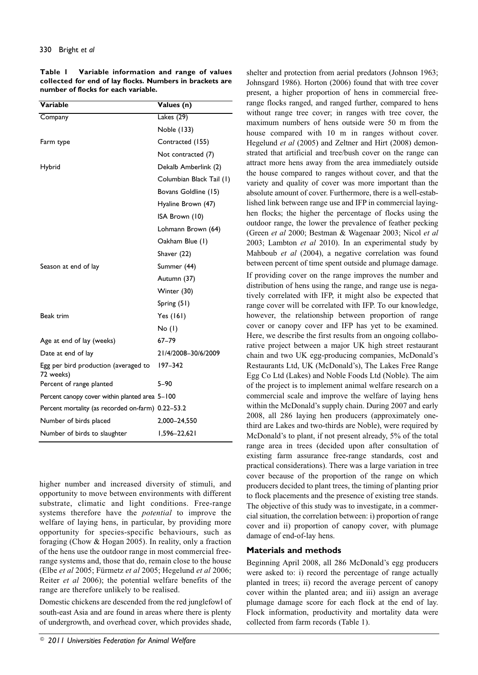**Table 1 Variable information and range of values collected for end of lay flocks. Numbers in brackets are number of flocks for each variable.**

| <b>Variable</b>                                   | Values (n)               |
|---------------------------------------------------|--------------------------|
| Company                                           | Lakes (29)               |
|                                                   | Noble (133)              |
| Farm type                                         | Contracted (155)         |
|                                                   | Not contracted (7)       |
| Hybrid                                            | Dekalb Amberlink (2)     |
|                                                   | Columbian Black Tail (1) |
|                                                   | Bovans Goldline (15)     |
|                                                   | Hyaline Brown (47)       |
|                                                   | ISA Brown (10)           |
|                                                   | Lohmann Brown (64)       |
|                                                   | Oakham Blue (1)          |
|                                                   | Shaver (22)              |
| Season at end of lay                              | Summer (44)              |
|                                                   | Autumn (37)              |
|                                                   | Winter (30)              |
|                                                   | Spring $(51)$            |
| Beak trim                                         | Yes (161)                |
|                                                   | No (I)                   |
| Age at end of lay (weeks)                         | $67 - 79$                |
| Date at end of lay                                | 21/4/2008-30/6/2009      |
| Egg per bird production (averaged to<br>72 weeks) | 197-342                  |
| Percent of range planted                          | $5 - 90$                 |
| Percent canopy cover within planted area 5-100    |                          |
| Percent mortality (as recorded on-farm) 0.22-53.2 |                          |
| Number of birds placed                            | 2,000-24,550             |
| Number of birds to slaughter                      | $1,596 - 22,621$         |

higher number and increased diversity of stimuli, and opportunity to move between environments with different substrate, climatic and light conditions. Free-range systems therefore have the *potential* to improve the welfare of laying hens, in particular, by providing more opportunity for species-specific behaviours, such as foraging (Chow & Hogan 2005). In reality, only a fraction of the hens use the outdoor range in most commercial freerange systems and, those that do, remain close to the house (Elbe *et al* 2005; Fürmetz *et al* 2005; Hegelund *et al* 2006; Reiter *et al* 2006); the potential welfare benefits of the range are therefore unlikely to be realised.

Domestic chickens are descended from the red junglefowl of south-east Asia and are found in areas where there is plenty of undergrowth, and overhead cover, which provides shade,

shelter and protection from aerial predators (Johnson 1963; Johnsgard 1986). Horton (2006) found that with tree cover present, a higher proportion of hens in commercial freerange flocks ranged, and ranged further, compared to hens without range tree cover; in ranges with tree cover, the maximum numbers of hens outside were 50 m from the house compared with 10 m in ranges without cover. Hegelund *et al* (2005) and Zeltner and Hirt (2008) demonstrated that artificial and tree/bush cover on the range can attract more hens away from the area immediately outside the house compared to ranges without cover, and that the variety and quality of cover was more important than the absolute amount of cover. Furthermore, there is a well-established link between range use and IFP in commercial layinghen flocks; the higher the percentage of flocks using the outdoor range, the lower the prevalence of feather pecking (Green *et al* 2000; Bestman & Wagenaar 2003; Nicol *et al* 2003; Lambton *et al* 2010). In an experimental study by Mahboub *et al* (2004), a negative correlation was found between percent of time spent outside and plumage damage.

If providing cover on the range improves the number and distribution of hens using the range, and range use is negatively correlated with IFP, it might also be expected that range cover will be correlated with IFP. To our knowledge, however, the relationship between proportion of range cover or canopy cover and IFP has yet to be examined. Here, we describe the first results from an ongoing collaborative project between a major UK high street restaurant chain and two UK egg-producing companies, McDonald's Restaurants Ltd, UK (McDonald's), The Lakes Free Range Egg Co Ltd (Lakes) and Noble Foods Ltd (Noble). The aim of the project is to implement animal welfare research on a commercial scale and improve the welfare of laying hens within the McDonald's supply chain. During 2007 and early 2008, all 286 laying hen producers (approximately onethird are Lakes and two-thirds are Noble), were required by McDonald's to plant, if not present already, 5% of the total range area in trees (decided upon after consultation of existing farm assurance free-range standards, cost and practical considerations). There was a large variation in tree cover because of the proportion of the range on which producers decided to plant trees, the timing of planting prior to flock placements and the presence of existing tree stands. The objective of this study was to investigate, in a commercial situation, the correlation between: i) proportion of range cover and ii) proportion of canopy cover, with plumage damage of end-of-lay hens.

## **Materials and methods**

Beginning April 2008, all 286 McDonald's egg producers were asked to: i) record the percentage of range actually planted in trees; ii) record the average percent of canopy cover within the planted area; and iii) assign an average plumage damage score for each flock at the end of lay. Flock information, productivity and mortality data were collected from farm records (Table 1).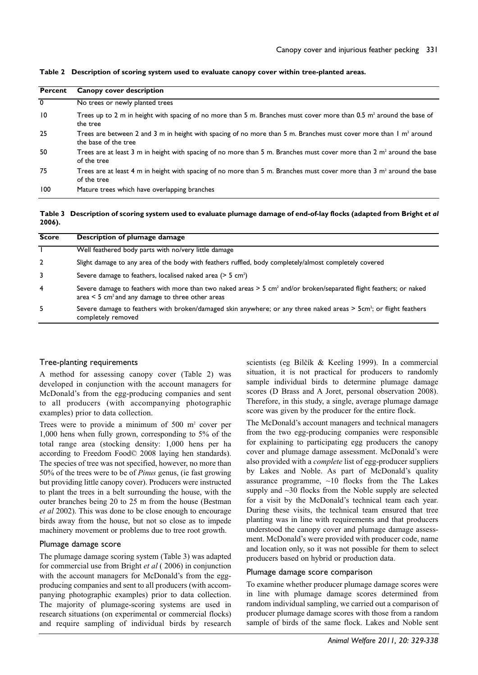| <b>Percent</b>  | <b>Canopy cover description</b>                                                                                                                  |
|-----------------|--------------------------------------------------------------------------------------------------------------------------------------------------|
| $\overline{0}$  | No trees or newly planted trees                                                                                                                  |
| $\overline{10}$ | Trees up to 2 m in height with spacing of no more than 5 m. Branches must cover more than 0.5 m <sup>2</sup> around the base of<br>the tree      |
| 25              | Trees are between 2 and 3 m in height with spacing of no more than 5 m. Branches must cover more than $\ln n^2$ around<br>the base of the tree   |
| 50              | Trees are at least 3 m in height with spacing of no more than 5 m. Branches must cover more than 2 m <sup>2</sup> around the base<br>of the tree |
| 75              | Trees are at least 4 m in height with spacing of no more than 5 m. Branches must cover more than 3 m <sup>2</sup> around the base<br>of the tree |
| 100             | Mature trees which have overlapping branches                                                                                                     |

**Table 2 Description of scoring system used to evaluate canopy cover within tree-planted areas.**

**Table 3 Description of scoring system used to evaluate plumage damage of end-of-lay flocks (adapted from Bright** *et al* **2006).**

| <b>Score</b>   | Description of plumage damage                                                                                                                                                                       |
|----------------|-----------------------------------------------------------------------------------------------------------------------------------------------------------------------------------------------------|
|                | Well feathered body parts with no/very little damage                                                                                                                                                |
| $\overline{2}$ | Slight damage to any area of the body with feathers ruffled, body completely/almost completely covered                                                                                              |
| 3              | Severe damage to feathers, localised naked area $($ > 5 cm <sup>2</sup> $)$                                                                                                                         |
| 4              | Severe damage to feathers with more than two naked areas > 5 cm <sup>2</sup> and/or broken/separated flight feathers; or naked<br>area $\leq$ 5 cm <sup>2</sup> and any damage to three other areas |
| 5              | Severe damage to feathers with broken/damaged skin anywhere; or any three naked areas > 5cm <sup>2</sup> ; or flight feathers<br>completely removed                                                 |

#### Tree-planting requirements

A method for assessing canopy cover (Table 2) was developed in conjunction with the account managers for McDonald's from the egg-producing companies and sent to all producers (with accompanying photographic examples) prior to data collection.

Trees were to provide a minimum of 500 m<sup>2</sup> cover per 1,000 hens when fully grown, corresponding to 5% of the total range area (stocking density: 1,000 hens per ha according to Freedom Food© 2008 laying hen standards). The species of tree was not specified, however, no more than 50% of the trees were to be of *Pinus* genus, (ie fast growing but providing little canopy cover). Producers were instructed to plant the trees in a belt surrounding the house, with the outer branches being 20 to 25 m from the house (Bestman *et al* 2002). This was done to be close enough to encourage birds away from the house, but not so close as to impede machinery movement or problems due to tree root growth.

#### Plumage damage score

The plumage damage scoring system (Table 3) was adapted for commercial use from Bright *et al* ( 2006) in conjunction with the account managers for McDonald's from the eggproducing companies and sent to all producers (with accompanying photographic examples) prior to data collection. The majority of plumage-scoring systems are used in research situations (on experimental or commercial flocks) and require sampling of individual birds by research

scientists (eg Bilčík & Keeling 1999). In a commercial situation, it is not practical for producers to randomly sample individual birds to determine plumage damage scores (D Brass and A Joret, personal observation 2008). Therefore, in this study, a single, average plumage damage score was given by the producer for the entire flock.

The McDonald's account managers and technical managers from the two egg-producing companies were responsible for explaining to participating egg producers the canopy cover and plumage damage assessment. McDonald's were also provided with a *complete* list of egg-producer suppliers by Lakes and Noble. As part of McDonald's quality assurance programme,  $\sim 10$  flocks from the The Lakes supply and  $\sim$ 30 flocks from the Noble supply are selected for a visit by the McDonald's technical team each year. During these visits, the technical team ensured that tree planting was in line with requirements and that producers understood the canopy cover and plumage damage assessment. McDonald's were provided with producer code, name and location only, so it was not possible for them to select producers based on hybrid or production data.

### Plumage damage score comparison

To examine whether producer plumage damage scores were in line with plumage damage scores determined from random individual sampling, we carried out a comparison of producer plumage damage scores with those from a random sample of birds of the same flock. Lakes and Noble sent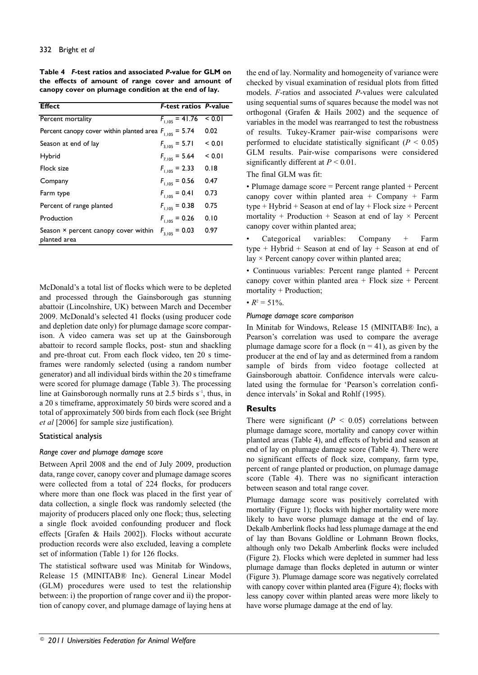**Table 4** *F***-test ratios and associated** *P***-value for GLM on the effects of amount of range cover and amount of canopy cover on plumage condition at the end of lay.**

| <b>Effect</b>                                               | <b>F-test ratios P-value</b> |        |
|-------------------------------------------------------------|------------------------------|--------|
|                                                             |                              |        |
| Percent mortality                                           | $F_{1,105} = 41.76$          | < 0.01 |
| Percent canopy cover within planted area $F_{1,105} = 5.74$ |                              | 0.02   |
| Season at end of lay                                        | $F_{3.105}$ = 5.71           | < 0.01 |
| Hybrid                                                      | $F_{7.105}$ = 5.64           | < 0.01 |
| Flock size                                                  | $F_{1.105}$ = 2.33           | 0.18   |
| Company                                                     | $F_{1.105} = 0.56$           | 0.47   |
| Farm type                                                   | $F_{1.105} = 0.41$           | 0.73   |
| Percent of range planted                                    | $F_{1,105} = 0.38$           | 0.75   |
| Production                                                  | $F_{1,105} = 0.26$           | 0.10   |
| Season $\times$ percent canopy cover within<br>planted area | $F_{3.105} = 0.03$           | 0.97   |

McDonald's a total list of flocks which were to be depleted and processed through the Gainsborough gas stunning abattoir (Lincolnshire, UK) between March and December 2009. McDonald's selected 41 flocks (using producer code and depletion date only) for plumage damage score comparison. A video camera was set up at the Gainsborough abattoir to record sample flocks, post- stun and shackling and pre-throat cut. From each flock video, ten 20 s timeframes were randomly selected (using a random number generator) and all individual birds within the 20 s timeframe were scored for plumage damage (Table 3). The processing line at Gainsborough normally runs at 2.5 birds  $s^{-1}$ , thus, in a 20 s timeframe, approximately 50 birds were scored and a total of approximately 500 birds from each flock (see Bright *et al* [2006] for sample size justification).

## Statistical analysis

## *Range cover and plumage damage score*

Between April 2008 and the end of July 2009, production data, range cover, canopy cover and plumage damage scores were collected from a total of 224 flocks, for producers where more than one flock was placed in the first year of data collection, a single flock was randomly selected (the majority of producers placed only one flock; thus, selecting a single flock avoided confounding producer and flock effects [Grafen & Hails 2002]). Flocks without accurate production records were also excluded, leaving a complete set of information (Table 1) for 126 flocks.

The statistical software used was Minitab for Windows, Release 15 (MINITAB® Inc). General Linear Model (GLM) procedures were used to test the relationship between: i) the proportion of range cover and ii) the proportion of canopy cover, and plumage damage of laying hens at

the end of lay. Normality and homogeneity of variance were checked by visual examination of residual plots from fitted models. *F*-ratios and associated *P*-values were calculated using sequential sums of squares because the model was not orthogonal (Grafen & Hails 2002) and the sequence of variables in the model was rearranged to test the robustness of results. Tukey-Kramer pair-wise comparisons were performed to elucidate statistically significant  $(P < 0.05)$ GLM results. Pair-wise comparisons were considered significantly different at *P* < 0.01.

## The final GLM was fit:

• Plumage damage score = Percent range planted + Percent canopy cover within planted area + Company + Farm type + Hybrid + Season at end of lay + Flock size + Percent mortality + Production + Season at end of lay  $\times$  Percent canopy cover within planted area;

• Categorical variables: Company + Farm type + Hybrid + Season at end of lay + Season at end of lay  $\times$  Percent canopy cover within planted area;

• Continuous variables: Percent range planted + Percent canopy cover within planted area  $+$  Flock size  $+$  Percent mortality + Production;

## •  $R^2 = 51\%$ .

### *Plumage damage score comparison*

In Minitab for Windows, Release 15 (MINITAB® Inc), a Pearson's correlation was used to compare the average plumage damage score for a flock ( $n = 41$ ), as given by the producer at the end of lay and as determined from a random sample of birds from video footage collected at Gainsborough abattoir. Confidence intervals were calculated using the formulae for 'Pearson's correlation confidence intervals' in Sokal and Rohlf (1995).

## **Results**

There were significant  $(P \leq 0.05)$  correlations between plumage damage score, mortality and canopy cover within planted areas (Table 4), and effects of hybrid and season at end of lay on plumage damage score (Table 4). There were no significant effects of flock size, company, farm type, percent of range planted or production, on plumage damage score (Table 4). There was no significant interaction between season and total range cover.

Plumage damage score was positively correlated with mortality (Figure 1); flocks with higher mortality were more likely to have worse plumage damage at the end of lay. Dekalb Amberlink flocks had less plumage damage at the end of lay than Bovans Goldline or Lohmann Brown flocks, although only two Dekalb Amberlink flocks were included (Figure 2). Flocks which were depleted in summer had less plumage damage than flocks depleted in autumn or winter (Figure 3). Plumage damage score was negatively correlated with canopy cover within planted area (Figure 4); flocks with less canopy cover within planted areas were more likely to have worse plumage damage at the end of lay.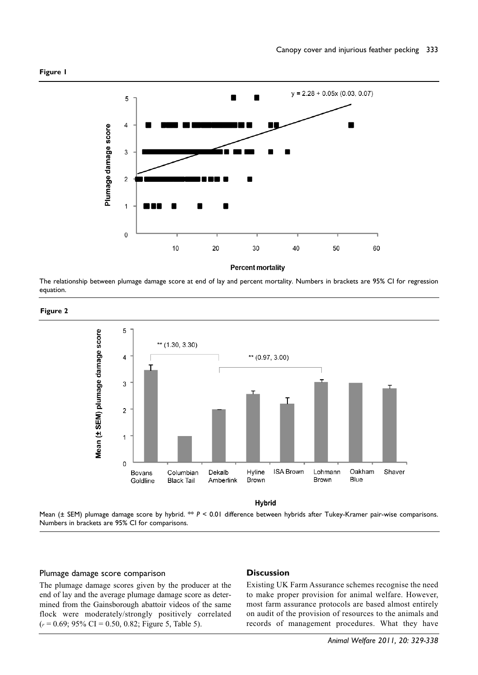

**Percent mortality** 

The relationship between plumage damage score at end of lay and percent mortality. Numbers in brackets are 95% CI for regression equation.





Mean (± SEM) plumage damage score by hybrid. \*\* *P* < 0.01 difference between hybrids after Tukey-Kramer pair-wise comparisons. Numbers in brackets are 95% CI for comparisons.

## Plumage damage score comparison

The plumage damage scores given by the producer at the end of lay and the average plumage damage score as determined from the Gainsborough abattoir videos of the same flock were moderately/strongly positively correlated (*<sup>r</sup>* = 0.69; 95% CI = 0.50, 0.82; Figure 5, Table 5).

### **Discussion**

Existing UK Farm Assurance schemes recognise the need to make proper provision for animal welfare. However, most farm assurance protocols are based almost entirely on audit of the provision of resources to the animals and records of management procedures. What they have

**Figure 2**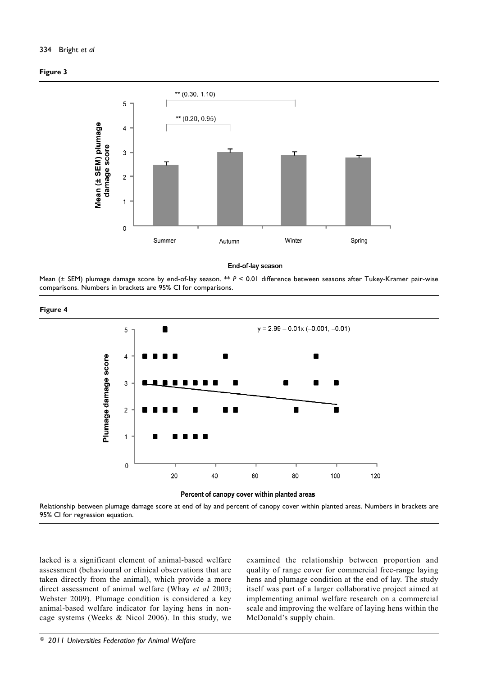## 334 Bright *et al*





End-of-lay season

Mean (± SEM) plumage damage score by end-of-lay season. \*\* *P* < 0.01 difference between seasons after Tukey-Kramer pair-wise comparisons. Numbers in brackets are 95% CI for comparisons.







Relationship between plumage damage score at end of lay and percent of canopy cover within planted areas. Numbers in brackets are 95% CI for regression equation.

lacked is a significant element of animal-based welfare assessment (behavioural or clinical observations that are taken directly from the animal), which provide a more direct assessment of animal welfare (Whay *et al* 2003; Webster 2009). Plumage condition is considered a key animal-based welfare indicator for laying hens in noncage systems (Weeks & Nicol 2006). In this study, we

examined the relationship between proportion and quality of range cover for commercial free-range laying hens and plumage condition at the end of lay. The study itself was part of a larger collaborative project aimed at implementing animal welfare research on a commercial scale and improving the welfare of laying hens within the McDonald's supply chain.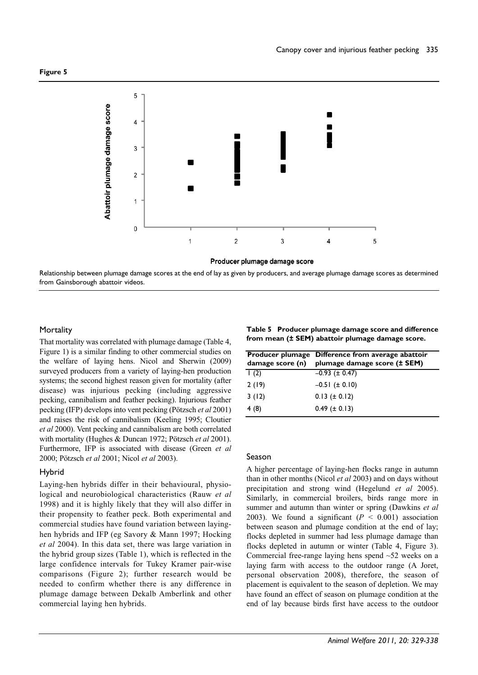

Relationship between plumage damage scores at the end of lay as given by producers, and average plumage damage scores as determined from Gainsborough abattoir videos.

## **Mortality**

That mortality was correlated with plumage damage (Table 4, Figure 1) is a similar finding to other commercial studies on the welfare of laying hens. Nicol and Sherwin (2009) surveyed producers from a variety of laying-hen production systems; the second highest reason given for mortality (after disease) was injurious pecking (including aggressive pecking, cannibalism and feather pecking). Injurious feather pecking (IFP) develops into vent pecking (Pötzsch *et al* 2001) and raises the risk of cannibalism (Keeling 1995; Cloutier *et al* 2000). Vent pecking and cannibalism are both correlated with mortality (Hughes & Duncan 1972; Pötzsch *et al* 2001). Furthermore, IFP is associated with disease (Green *et al* 2000; Pötzsch *et al* 2001; Nicol *et al* 2003).

## Hybrid

Laying-hen hybrids differ in their behavioural, physiological and neurobiological characteristics (Rauw *et al* 1998) and it is highly likely that they will also differ in their propensity to feather peck. Both experimental and commercial studies have found variation between layinghen hybrids and IFP (eg Savory & Mann 1997; Hocking *et al* 2004). In this data set, there was large variation in the hybrid group sizes (Table 1), which is reflected in the large confidence intervals for Tukey Kramer pair-wise comparisons (Figure 2); further research would be needed to confirm whether there is any difference in plumage damage between Dekalb Amberlink and other commercial laying hen hybrids.

**Table 5 Producer plumage damage score and difference from mean (± SEM) abattoir plumage damage score.**

|       | <b>Producer plumage Difference from average abattoir</b><br>damage score $(n)$ plumage damage score $(\pm$ SEM) |
|-------|-----------------------------------------------------------------------------------------------------------------|
| 1(2)  | $-0.93$ ( $\pm$ 0.47)                                                                                           |
| 2(19) | $-0.51$ ( $\pm$ 0.10)                                                                                           |
| 3(12) | $0.13 (\pm 0.12)$                                                                                               |
| 4 (8) | $0.49$ ( $\pm$ 0.13)                                                                                            |

## Season

A higher percentage of laying-hen flocks range in autumn than in other months (Nicol *et al* 2003) and on days without precipitation and strong wind (Hegelund *et al* 2005). Similarly, in commercial broilers, birds range more in summer and autumn than winter or spring (Dawkins *et al* 2003). We found a significant  $(P < 0.001)$  association between season and plumage condition at the end of lay; flocks depleted in summer had less plumage damage than flocks depleted in autumn or winter (Table 4, Figure 3). Commercial free-range laying hens spend ~52 weeks on a laying farm with access to the outdoor range (A Joret, personal observation 2008), therefore, the season of placement is equivalent to the season of depletion. We may have found an effect of season on plumage condition at the end of lay because birds first have access to the outdoor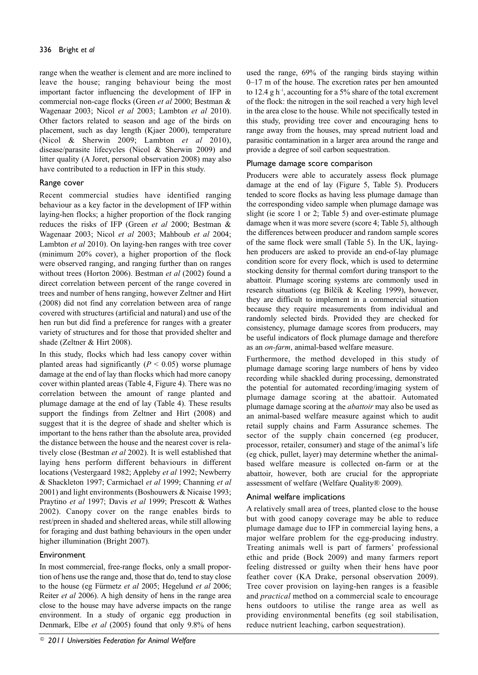# 336 Bright *et al*

range when the weather is clement and are more inclined to leave the house; ranging behaviour being the most important factor influencing the development of IFP in commercial non-cage flocks (Green *et al* 2000; Bestman & Wagenaar 2003; Nicol *et al* 2003; Lambton *et al* 2010). Other factors related to season and age of the birds on placement, such as day length (Kjaer 2000), temperature (Nicol & Sherwin 2009; Lambton *et al* 2010), disease/parasite lifecycles (Nicol & Sherwin 2009) and litter quality (A Joret, personal observation 2008) may also have contributed to a reduction in IFP in this study.

## Range cover

Recent commercial studies have identified ranging behaviour as a key factor in the development of IFP within laying-hen flocks; a higher proportion of the flock ranging reduces the risks of IFP (Green *et al* 2000; Bestman & Wagenaar 2003; Nicol *et al* 2003; Mahboub *et al* 2004; Lambton *et al* 2010). On laying-hen ranges with tree cover (minimum 20% cover), a higher proportion of the flock were observed ranging, and ranging further than on ranges without trees (Horton 2006). Bestman *et al* (2002) found a direct correlation between percent of the range covered in trees and number of hens ranging, however Zeltner and Hirt (2008) did not find any correlation between area of range covered with structures (artificial and natural) and use of the hen run but did find a preference for ranges with a greater variety of structures and for those that provided shelter and shade (Zeltner & Hirt 2008).

In this study, flocks which had less canopy cover within planted areas had significantly  $(P < 0.05)$  worse plumage damage at the end of lay than flocks which had more canopy cover within planted areas (Table 4, Figure 4). There was no correlation between the amount of range planted and plumage damage at the end of lay (Table 4). These results support the findings from Zeltner and Hirt (2008) and suggest that it is the degree of shade and shelter which is important to the hens rather than the absolute area, provided the distance between the house and the nearest cover is relatively close (Bestman *et al* 2002). It is well established that laying hens perform different behaviours in different locations (Vestergaard 1982; Appleby *et al* 1992; Newberry & Shackleton 1997; Carmichael *et al* 1999; Channing *et al* 2001) and light environments (Boshouwers & Nicaise 1993; Praytino *et al* 1997; Davis *et al* 1999; Prescott & Wathes 2002). Canopy cover on the range enables birds to rest/preen in shaded and sheltered areas, while still allowing for foraging and dust bathing behaviours in the open under higher illumination (Bright 2007).

# Environment

In most commercial, free-range flocks, only a small proportion of hens use the range and, those that do, tend to stay close to the house (eg Fürmetz *et al* 2005; Hegelund *et al* 2006; Reiter *et al* 2006). A high density of hens in the range area close to the house may have adverse impacts on the range environment. In a study of organic egg production in Denmark, Elbe *et al* (2005) found that only 9.8% of hens

used the range, 69% of the ranging birds staying within 0–17 m of the house. The excretion rates per hen amounted to 12.4 g  $h^{-1}$ , accounting for a 5% share of the total excrement of the flock: the nitrogen in the soil reached a very high level in the area close to the house. While not specifically tested in this study, providing tree cover and encouraging hens to range away from the houses, may spread nutrient load and parasitic contamination in a larger area around the range and provide a degree of soil carbon sequestration.

## Plumage damage score comparison

Producers were able to accurately assess flock plumage damage at the end of lay (Figure 5, Table 5). Producers tended to score flocks as having less plumage damage than the corresponding video sample when plumage damage was slight (ie score 1 or 2; Table 5) and over-estimate plumage damage when it was more severe (score 4; Table 5), although the differences between producer and random sample scores of the same flock were small (Table 5). In the UK, layinghen producers are asked to provide an end-of-lay plumage condition score for every flock, which is used to determine stocking density for thermal comfort during transport to the abattoir. Plumage scoring systems are commonly used in research situations (eg Bilčík & Keeling 1999), however, they are difficult to implement in a commercial situation because they require measurements from individual and randomly selected birds. Provided they are checked for consistency, plumage damage scores from producers, may be useful indicators of flock plumage damage and therefore as an *on-farm*, animal-based welfare measure.

Furthermore, the method developed in this study of plumage damage scoring large numbers of hens by video recording while shackled during processing, demonstrated the potential for automated recording/imaging system of plumage damage scoring at the abattoir. Automated plumage damage scoring at the *abattoir* may also be used as an animal-based welfare measure against which to audit retail supply chains and Farm Assurance schemes. The sector of the supply chain concerned (eg producer, processor, retailer, consumer) and stage of the animal's life (eg chick, pullet, layer) may determine whether the animalbased welfare measure is collected on-farm or at the abattoir, however, both are crucial for the appropriate assessment of welfare (Welfare Quality® 2009).

# Animal welfare implications

A relatively small area of trees, planted close to the house but with good canopy coverage may be able to reduce plumage damage due to IFP in commercial laying hens, a major welfare problem for the egg-producing industry. Treating animals well is part of farmers' professional ethic and pride (Bock 2009) and many farmers report feeling distressed or guilty when their hens have poor feather cover (KA Drake, personal observation 2009). Tree cover provision on laying-hen ranges is a feasible and *practical* method on a commercial scale to encourage hens outdoors to utilise the range area as well as providing environmental benefits (eg soil stabilisation, reduce nutrient leaching, carbon sequestration).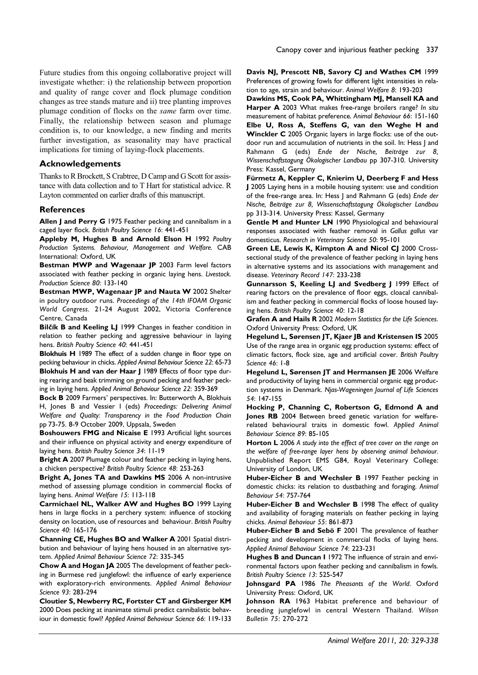Future studies from this ongoing collaborative project will investigate whether: i) the relationship between proportion and quality of range cover and flock plumage condition changes as tree stands mature and ii) tree planting improves plumage condition of flocks on the *same* farm over time. Finally, the relationship between season and plumage condition is, to our knowledge, a new finding and merits further investigation, as seasonality may have practical implications for timing of laying-flock placements.

## **Acknowledgements**

Thanks to R Brockett, S Crabtree, D Camp and G Scott for assistance with data collection and to T Hart for statistical advice. R Layton commented on earlier drafts of this manuscript.

#### **References**

**Allen J and Perry G** 1975 Feather pecking and cannibalism in a caged layer flock. *British Poultry Science 16*: 441-451

**Appleby M, Hughes B and Arnold Elson H** 1992 *Poultry Production Systems. Behaviour, Management and Welfare.* CAB International: Oxford, UK

**Bestman MWP and Wagenaar JP** 2003 Farm level factors associated with feather pecking in organic laying hens. *Livestock. Production Science 80*: 133-140

**Bestman MWP, Wagenaar JP and Nauta W** 2002 Shelter in poultry outdoor runs. *Proceedings of the 14th IFOAM Organic World Congress*. 21-24 August 2002, Victoria Conference Centre, Canada

**Bilčík B and Keeling LJ** 1999 Changes in feather condition in relation to feather pecking and aggressive behaviour in laying hens. *British Poultry Science 40*: 441-451

**Blokhuis H** 1989 The effect of a sudden change in floor type on pecking behaviour in chicks. *Applied Animal Behaviour Science 22*: 65-73 **Blokhuis H and van der Haar J** 1989 Effects of floor type during rearing and beak trimming on ground pecking and feather pecking in laying hens. *Applied Animal Behaviour Science 22*: 359-369

**Bock B** 2009 Farmers' perspectives. In: Butterworth A, Blokhuis H, Jones B and Vessier I (eds) *Proceedings: Delivering Animal Welfare and Quality: Transparency in the Food Production Chain* pp 73-75. 8-9 October 2009, Uppsala, Sweden

**Boshouwers FMG and Nicaise E** 1993 Artificial light sources and their influence on physical activity and energy expenditure of laying hens. *British Poultry Science 34*: 11-19

**Bright A** 2007 Plumage colour and feather pecking in laying hens, a chicken perspective? *British Poultry Science 48*: 253-263

**Bright A, Jones TA and Dawkins MS** 2006 A non-intrusive method of assessing plumage condition in commercial flocks of laying hens. *Animal Welfare 15*: 113-118

**Carmichael NL, Walker AW and Hughes BO** 1999 Laying hens in large flocks in a perchery system: influence of stocking density on location, use of resources and behaviour. *British Poultry Science 40*: 165-176

**Channing CE, Hughes BO and Walker A** 2001 Spatial distribution and behaviour of laying hens housed in an alternative system. *Applied Animal Behaviour Science 72*: 335-345

**Chow A and Hogan JA** 2005 The development of feather pecking in Burmese red junglefowl: the influence of early experience with exploratory-rich environments. *Applied Animal Behaviour Science 93*: 283-294

**Cloutier S, Newberry RC, Fortster CT and Girsberger KM** 2000 Does pecking at inanimate stimuli predict cannibalistic behaviour in domestic fowl? *Applied Animal Behaviour Science 66*: 119-133 **Davis NJ, Prescott NB, Savory CJ and Wathes CM** 1999 Preferences of growing fowls for different light intensities in relation to age, strain and behaviour. *Animal Welfare 8*: 193-203

**Dawkins MS, Cook PA, Whittingham MJ, Mansell KA and Harper A** 2003 What makes free-range broilers range? *In situ* measurement of habitat preference*. Animal Behaviour 66*: 151-160 **Elbe U, Ross A, Steffens G, van den Weghe H and Winckler C** 2005 Organic layers in large flocks: use of the outdoor run and accumulation of nutrients in the soil. In: Hess J and Rahmann G (eds) *Ende der Nische, Beiträge zur 8, Wissenschaftstagung Ökologischer Landbau* pp 307-310. University Press: Kassel, Germany

**Fürmetz A, Keppler C, Knierim U, Deerberg F and Hess J** 2005 Laying hens in a mobile housing system: use and condition of the free-range area. In: Hess J and Rahmann G (eds) *Ende der Nische, Beiträge zur 8, Wissenschaftstagung Ökologischer Landbau* pp 313-314. University Press: Kassel, Germany

**Gentle M and Hunter LN** 1990 Physiological and behavioural responses associated with feather removal in *Gallus gallus* var domesticus. *Research in Veterinary Science 50*: 95-101

**Green LE, Lewis K, Kimpton A and Nicol CJ** 2000 Crosssectional study of the prevalence of feather pecking in laying hens in alternative systems and its associations with management and disease. *Veterinary Record 147*: 233-238

**Gunnarsson S, Keeling LJ and Svedberg J** 1999 Effect of rearing factors on the prevalence of floor eggs, cloacal cannibalism and feather pecking in commercial flocks of loose housed laying hens. *British Poultry Science 40*: 12-18

**Grafen A and Hails R** 2002 *Modern Statistics for the Life Sciences*. Oxford University Press: Oxford, UK

**Hegelund L, Sørensen JT, Kjaer JB and Kristensen IS** 2005 Use of the range area in organic egg production systems: effect of climatic factors, flock size, age and artificial cover. *British Poultry Science 46*: 1-8

**Hegelund L, Sørensen JT and Hermansen JE** 2006 Welfare and productivity of laying hens in commercial organic egg production systems in Denmark. *Njas-Wageningen Journal of Life Sciences 54*: 147-155

**Hocking P, Channing C, Robertson G, Edmond A and Jones RB** 2004 Between breed genetic variation for welfarerelated behavioural traits in domestic fowl. *Applied Animal Behaviour Science 89*: 85-105

**Horton L** 2006 *A study into the effect of tree cover on the range on the welfare of free-range layer hens by observing animal behaviour.* Unpublished Report EMS G84, Royal Veterinary College: University of London, UK

**Huber-Eicher B and Wechsler B** 1997 Feather pecking in domestic chicks: its relation to dustbathing and foraging. *Animal Behaviour 54*: 757-764

**Huber-Eicher B and Wechsler B** 1998 The effect of quality and availability of foraging materials on feather pecking in laying chicks. *Animal Behaviour 55*: 861-873

**Huber-Eicher B and Sebö F** 2001 The prevalence of feather pecking and development in commercial flocks of laying hens. *Applied Animal Behaviour Science 74*: 223-231

**Hughes B and Duncan I** 1972 The influence of strain and environmental factors upon feather pecking and cannibalism in fowls. *British Poultry Science 13*: 525-547

**Johnsgard PA** 1986 *The Pheasants of the World*. Oxford University Press: Oxford, UK

**Johnson RA** 1963 Habitat preference and behaviour of breeding junglefowl in central Western Thailand. *Wilson Bulletin 75*: 270-272